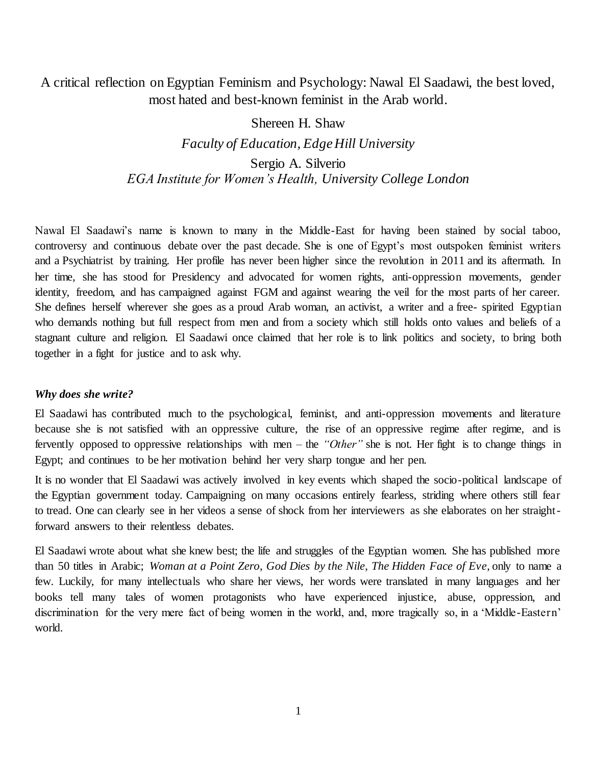# A critical reflection on Egyptian Feminism and Psychology: Nawal El Saadawi, the best loved, most hated and best-known feminist in the Arab world.

# Shereen H. Shaw *Faculty of Education, Edge Hill University* Sergio A. Silverio *EGA Institute for Women's Health, University College London*

Nawal El Saadawi's name is known to many in the Middle-East for having been stained by social taboo, controversy and continuous debate over the past decade. She is one of Egypt's most outspoken feminist writers and a Psychiatrist by training. Her profile has never been higher since the revolution in 2011 and its aftermath. In her time, she has stood for Presidency and advocated for women rights, anti-oppression movements, gender identity, freedom, and has campaigned against FGM and against wearing the veil for the most parts of her career. She defines herself wherever she goes as a proud Arab woman, an activist, a writer and a free- spirited Egyptian who demands nothing but full respect from men and from a society which still holds onto values and beliefs of a stagnant culture and religion. El Saadawi once claimed that her role is to link politics and society, to bring both together in a fight for justice and to ask why.

### *Why does she write?*

El Saadawi has contributed much to the psychological, feminist, and anti-oppression movements and literature because she is not satisfied with an oppressive culture, the rise of an oppressive regime after regime, and is fervently opposed to oppressive relationships with men – the *"Other"* she is not*.* Her fight is to change things in Egypt; and continues to be her motivation behind her very sharp tongue and her pen.

It is no wonder that El Saadawi was actively involved in key events which shaped the socio-political landscape of the Egyptian government today. Campaigning on many occasions entirely fearless, striding where others still fear to tread. One can clearly see in her videos a sense of shock from her interviewers as she elaborates on her straightforward answers to their relentless debates.

El Saadawi wrote about what she knew best; the life and struggles of the Egyptian women. She has published more than 50 titles in Arabic; *Woman at a Point Zero*, *God Dies by the Nile*, *The Hidden Face of Eve*, only to name a few. Luckily, for many intellectuals who share her views, her words were translated in many languages and her books tell many tales of women protagonists who have experienced injustice, abuse, oppression, and discrimination for the very mere fact of being women in the world, and, more tragically so, in a 'Middle-Eastern' world.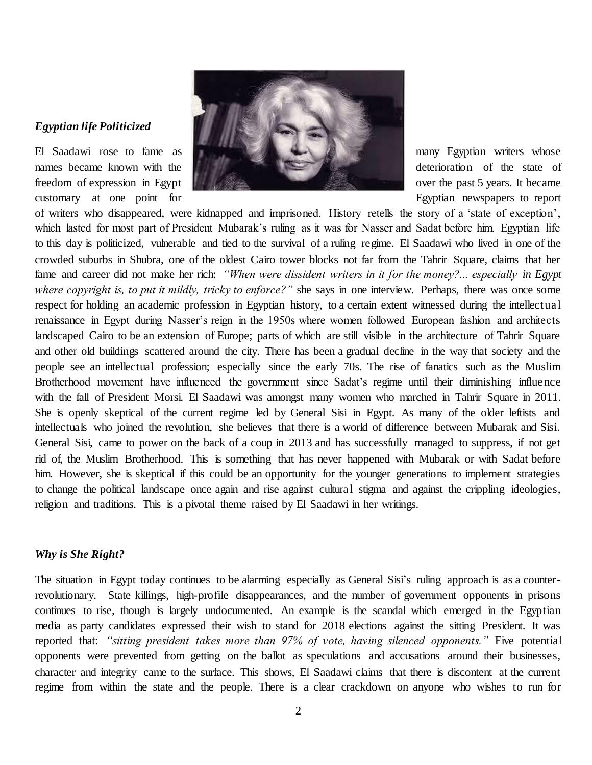## *Egyptian life Politicized*



of writers who disappeared, were kidnapped and imprisoned. History retells the story of a 'state of exception', which lasted for most part of President Mubarak's ruling as it was for Nasser and Sadat before him. Egyptian life to this day is politicized, vulnerable and tied to the survival of a ruling regime. El Saadawi who lived in one of the crowded suburbs in Shubra, one of the oldest Cairo tower blocks not far from the Tahrir Square, claims that her fame and career did not make her rich: *"When were dissident writers in it for the money?... especially in Egypt where copyright is, to put it mildly, tricky to enforce?"* she says in one interview. Perhaps, there was once some respect for holding an academic profession in Egyptian history, to a certain extent witnessed during the intellectual renaissance in Egypt during Nasser's reign in the 1950s where women followed European fashion and architects landscaped Cairo to be an extension of Europe; parts of which are still visible in the architecture of Tahrir Square and other old buildings scattered around the city. There has been a gradual decline in the way that society and the people see an intellectual profession; especially since the early 70s. The rise of fanatics such as the Muslim Brotherhood movement have influenced the government since Sadat's regime until their diminishing influence with the fall of President Morsi. El Saadawi was amongst many women who marched in Tahrir Square in 2011. She is openly skeptical of the current regime led by General Sisi in Egypt. As many of the older leftists and intellectuals who joined the revolution, she believes that there is a world of difference between Mubarak and Sisi. General Sisi, came to power on the back of a coup in 2013 and has successfully managed to suppress, if not get rid of, the Muslim Brotherhood. This is something that has never happened with Mubarak or with Sadat before him. However, she is skeptical if this could be an opportunity for the younger generations to implement strategies to change the political landscape once again and rise against cultura l stigma and against the crippling ideologies, religion and traditions. This is a pivotal theme raised by El Saadawi in her writings.

# *Why is She Right?*

The situation in Egypt today continues to be alarming especially as General Sisi's ruling approach is as a counterrevolutionary. State killings, high-profile disappearances, and the number of government opponents in prisons continues to rise, though is largely undocumented. An example is the scandal which emerged in the Egyptian media as party candidates expressed their wish to stand for 2018 elections against the sitting President. It was reported that: *"sitting president takes more than 97% of vote, having silenced opponents."* Five potential opponents were prevented from getting on the ballot as speculations and accusations around their businesses, character and integrity came to the surface. This shows, El Saadawi claims that there is discontent at the current regime from within the state and the people. There is a clear crackdown on anyone who wishes to run for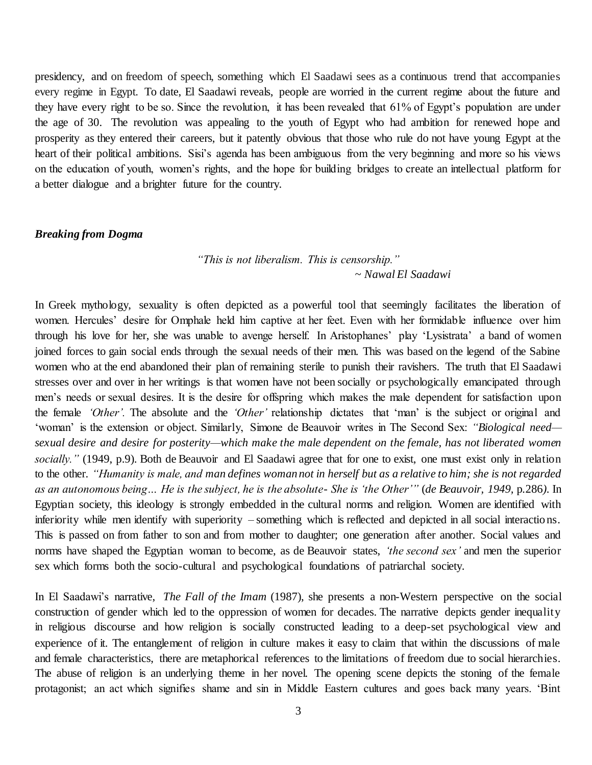presidency, and on freedom of speech, something which El Saadawi sees as a continuous trend that accompanies every regime in Egypt. To date, El Saadawi reveals, people are worried in the current regime about the future and they have every right to be so. Since the revolution, it has been revealed that 61% of Egypt's population are under the age of 30. The revolution was appealing to the youth of Egypt who had ambition for renewed hope and prosperity as they entered their careers, but it patently obvious that those who rule do not have young Egypt at the heart of their political ambitions. Sisi's agenda has been ambiguous from the very beginning and more so his views on the education of youth, women's rights, and the hope for building bridges to create an intellectual platform for a better dialogue and a brighter future for the country.

#### *Breaking from Dogma*

# *"This is not liberalism. This is censorship." ~ Nawal El Saadawi*

In Greek mythology, sexuality is often depicted as a powerful tool that seemingly facilitates the liberation of women. Hercules' desire for Omphale held him captive at her feet. Even with her formidable influence over him through his love for her, she was unable to avenge herself. In Aristophanes' play 'Lysistrata' a band of women joined forces to gain social ends through the sexual needs of their men. This was based on the legend of the Sabine women who at the end abandoned their plan of remaining sterile to punish their ravishers. The truth that El Saadawi stresses over and over in her writings is that women have not been socially or psychologically emancipated through men's needs or sexual desires. It is the desire for offspring which makes the male dependent for satisfaction upon the female *'Other'.* The absolute and the *'Other'* relationship dictates that 'man' is the subject or original and 'woman' is the extension or object. Similarly, Simone de Beauvoir writes in The Second Sex: *"Biological need sexual desire and desire for posterity—which make the male dependent on the female, has not liberated women socially."* (1949, p.9). Both de Beauvoir and El Saadawi agree that for one to exist, one must exist only in relation to the other. *"Humanity is male, and man defines woman not in herself but as a relative to him; she is not regarded as an autonomous being… He is the subject, he is the absolute- She is 'the Other'"* (*de Beauvoir, 1949,* p*.*286*)*. In Egyptian society, this ideology is strongly embedded in the cultural norms and religion. Women are identified with inferiority while men identify with superiority – something which is reflected and depicted in all social interactions. This is passed on from father to son and from mother to daughter; one generation after another. Social values and norms have shaped the Egyptian woman to become, as de Beauvoir states, *'the second sex'* and men the superior sex which forms both the socio-cultural and psychological foundations of patriarchal society.

In El Saadawi's narrative, *The Fall of the Imam* (1987), she presents a non-Western perspective on the social construction of gender which led to the oppression of women for decades. The narrative depicts gender inequality in religious discourse and how religion is socially constructed leading to a deep-set psychological view and experience of it. The entanglement of religion in culture makes it easy to claim that within the discussions of male and female characteristics, there are metaphorical references to the limitations of freedom due to social hierarchies. The abuse of religion is an underlying theme in her novel. The opening scene depicts the stoning of the female protagonist; an act which signifies shame and sin in Middle Eastern cultures and goes back many years. 'Bint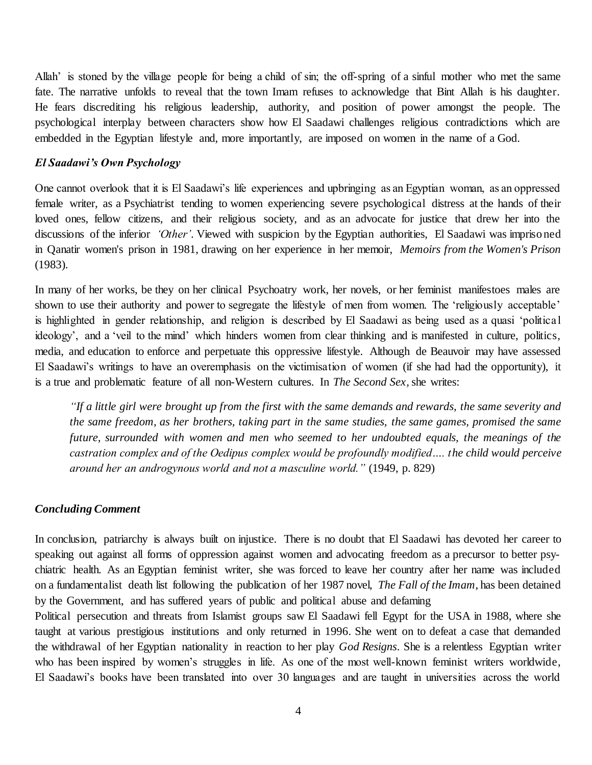Allah' is stoned by the village people for being a child of sin; the off-spring of a sinful mother who met the same fate. The narrative unfolds to reveal that the town Imam refuses to acknowledge that Bint Allah is his daughter. He fears discrediting his religious leadership, authority, and position of power amongst the people. The psychological interplay between characters show how El Saadawi challenges religious contradictions which are embedded in the Egyptian lifestyle and, more importantly, are imposed on women in the name of a God.

## *El Saadawi's Own Psychology*

One cannot overlook that it is El Saadawi's life experiences and upbringing as an Egyptian woman, as an oppressed female writer, as a Psychiatrist tending to women experiencing severe psychological distress at the hands of their loved ones, fellow citizens, and their religious society, and as an advocate for justice that drew her into the discussions of the inferior *'Other'*. Viewed with suspicion by the Egyptian authorities, El Saadawi was imprisoned in Qanatir women's prison in 1981, drawing on her experience in her memoir, *Memoirs from the Women's Prison* (1983).

In many of her works, be they on her clinical Psychoatry work, her novels, or her feminist manifestoes males are shown to use their authority and power to segregate the lifestyle of men from women. The 'religiously acceptable' is highlighted in gender relationship, and religion is described by El Saadawi as being used as a quasi 'political ideology', and a 'veil to the mind' which hinders women from clear thinking and is manifested in culture, politics, media, and education to enforce and perpetuate this oppressive lifestyle. Although de Beauvoir may have assessed El Saadawi's writings to have an overemphasis on the victimisation of women (if she had had the opportunity), it is a true and problematic feature of all non-Western cultures. In *The Second Sex,* she writes:

*"If a little girl were brought up from the first with the same demands and rewards, the same severity and the same freedom, as her brothers, taking part in the same studies, the same games, promised the same future, surrounded with women and men who seemed to her undoubted equals, the meanings of the castration complex and of the Oedipus complex would be profoundly modified…. the child would perceive around her an androgynous world and not a masculine world."* (1949, p. 829)

### *Concluding Comment*

In conclusion, patriarchy is always built on injustice. There is no doubt that El Saadawi has devoted her career to speaking out against all forms of oppression against women and advocating freedom as a precursor to better psychiatric health. As an Egyptian feminist writer, she was forced to leave her country after her name was included on a fundamentalist death list following the publication of her 1987 novel, *The Fall of the Imam*, has been detained by the Government, and has suffered years of public and political abuse and defaming

Political persecution and threats from Islamist groups saw El Saadawi fell Egypt for the USA in 1988, where she taught at various prestigious institutions and only returned in 1996. She went on to defeat a case that demanded the withdrawal of her Egyptian nationality in reaction to her play *God Resigns*. She is a relentless Egyptian writer who has been inspired by women's struggles in life. As one of the most well-known feminist writers worldwide, El Saadawi's books have been translated into over 30 languages and are taught in universities across the world